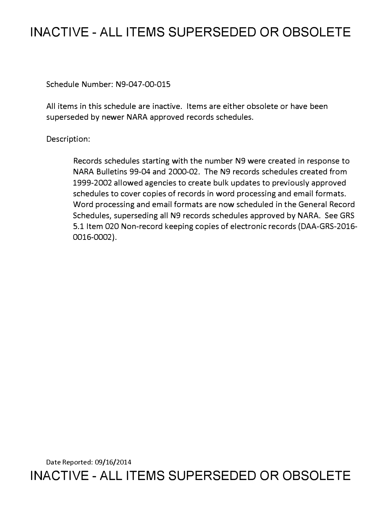## **INACTIVE - ALL ITEMS SUPERSEDED OR OBSOLETE**

Schedule Number: N9-047-00-015

All items in this schedule are inactive. Items are either obsolete or have been superseded by newer NARA approved records schedules.

Description:

Records schedules starting with the number N9 were created in response to NARA Bulletins 99-04 and 2000-02. The N9 records schedules created from 1999-2002 allowed agencies to create bulk updates to previously approved schedules to cover copies of records in word processing and email formats. Word processing and email formats are now scheduled in the General Record Schedules, superseding all N9 records schedules approved by NARA. See GRS 5.1 Item 020 Non-record keeping copies of electronic records (DAA-GRS-2016- 0016-0002).

Date Reported: 09/16/2014 **INACTIVE - ALL ITEMS SUPERSEDED OR OBSOLETE**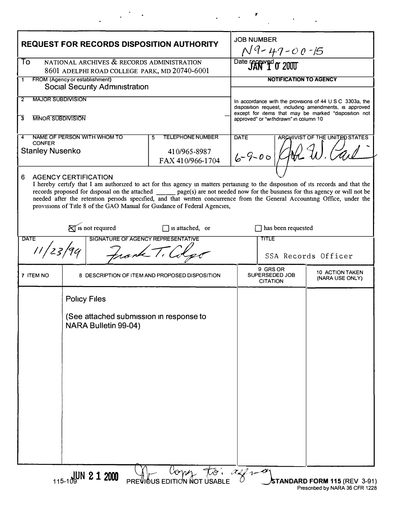| NATIONAL ARCHIVES & RECORDS ADMINISTRATION<br>To<br>Date received or 2000<br>8601 ADELPHI ROAD COLLEGE PARK, MD 20740-6001<br>FROM (Agency or establishment)<br>1<br><b>Social Security Administration</b><br><b>MAJOR SUBDIVISION</b><br>2<br><b>MINOR SUBDIVISION</b><br>3<br>NAME OF PERSON WITH WHOM TO<br><b>TELEPHONE NUMBER</b><br><b>DATE</b><br>5.<br><b>CONFER</b><br><b>Stanley Nusenko</b><br>410/965-8987<br>$6 - 9 - 00$<br>FAX 410/966-1704<br>6<br><b>AGENCY CERTIFICATION</b><br>I hereby certify that I am authorized to act for this agency in matters pertaining to the disposition of its records and that the<br>records proposed for disposal on the attached _______ page(s) are not needed now for the business for this agency or will not be<br>needed after the retention periods specified, and that written concurrence from the General Accounting Office, under the<br>provisions of Title 8 of the GAO Manual for Guidance of Federal Agencies,<br>$\bigotimes$ is not required<br>$\Box$ is attached, or<br>SIGNATURE OF AGENCY REPRESENTATIVE<br><b>DATE</b><br><b>TITLE</b><br>11/23/94<br>trank T.<br>7 ITEM NO<br>8 DESCRIPTION OF ITEM AND PROPOSED DISPOSITION<br><b>Policy Files</b><br>(See attached submission in response to<br>NARA Bulletin 99-04) | <b>JOB NUMBER</b><br>$N9 - 47 - 00 - 15$                                                                                                                                                                                      |
|--------------------------------------------------------------------------------------------------------------------------------------------------------------------------------------------------------------------------------------------------------------------------------------------------------------------------------------------------------------------------------------------------------------------------------------------------------------------------------------------------------------------------------------------------------------------------------------------------------------------------------------------------------------------------------------------------------------------------------------------------------------------------------------------------------------------------------------------------------------------------------------------------------------------------------------------------------------------------------------------------------------------------------------------------------------------------------------------------------------------------------------------------------------------------------------------------------------------------------------------------------------------------------------------------|-------------------------------------------------------------------------------------------------------------------------------------------------------------------------------------------------------------------------------|
|                                                                                                                                                                                                                                                                                                                                                                                                                                                                                                                                                                                                                                                                                                                                                                                                                                                                                                                                                                                                                                                                                                                                                                                                                                                                                                  |                                                                                                                                                                                                                               |
|                                                                                                                                                                                                                                                                                                                                                                                                                                                                                                                                                                                                                                                                                                                                                                                                                                                                                                                                                                                                                                                                                                                                                                                                                                                                                                  | <b>NOTIFICATION TO AGENCY</b>                                                                                                                                                                                                 |
|                                                                                                                                                                                                                                                                                                                                                                                                                                                                                                                                                                                                                                                                                                                                                                                                                                                                                                                                                                                                                                                                                                                                                                                                                                                                                                  | In accordance with the provisions of $44 \cup S \cup C$ 3303a, the<br>disposition request, including amendments, is approved<br>except for items that may be marked "disposition not<br>approved" or "withdrawn" in column 10 |
|                                                                                                                                                                                                                                                                                                                                                                                                                                                                                                                                                                                                                                                                                                                                                                                                                                                                                                                                                                                                                                                                                                                                                                                                                                                                                                  | ARCHIVIST OF THE UNITED STATES                                                                                                                                                                                                |
|                                                                                                                                                                                                                                                                                                                                                                                                                                                                                                                                                                                                                                                                                                                                                                                                                                                                                                                                                                                                                                                                                                                                                                                                                                                                                                  |                                                                                                                                                                                                                               |
|                                                                                                                                                                                                                                                                                                                                                                                                                                                                                                                                                                                                                                                                                                                                                                                                                                                                                                                                                                                                                                                                                                                                                                                                                                                                                                  | has been requested                                                                                                                                                                                                            |
|                                                                                                                                                                                                                                                                                                                                                                                                                                                                                                                                                                                                                                                                                                                                                                                                                                                                                                                                                                                                                                                                                                                                                                                                                                                                                                  | SSA Records Officer                                                                                                                                                                                                           |
|                                                                                                                                                                                                                                                                                                                                                                                                                                                                                                                                                                                                                                                                                                                                                                                                                                                                                                                                                                                                                                                                                                                                                                                                                                                                                                  | 9 GRS OR<br>10 ACTION TAKEN<br>SUPERSEDED JOB<br>(NARA USE ONLY)<br><b>CITATION</b>                                                                                                                                           |
|                                                                                                                                                                                                                                                                                                                                                                                                                                                                                                                                                                                                                                                                                                                                                                                                                                                                                                                                                                                                                                                                                                                                                                                                                                                                                                  |                                                                                                                                                                                                                               |

 $\label{eq:2.1} \mathcal{L}(\mathcal{L}(\mathcal{L})) = \mathcal{L}(\mathcal{L}(\mathcal{L})) = \mathcal{L}(\mathcal{L}(\mathcal{L})) = \mathcal{L}(\mathcal{L}(\mathcal{L}))$ 

 $\label{eq:2.1} \frac{1}{2}\left(\frac{1}{2}\left(\frac{1}{2}\right)^2\right)^2\left(\frac{1}{2}\left(\frac{1}{2}\right)^2\right)^2\left(\frac{1}{2}\left(\frac{1}{2}\right)^2\right)^2\right)^2.$